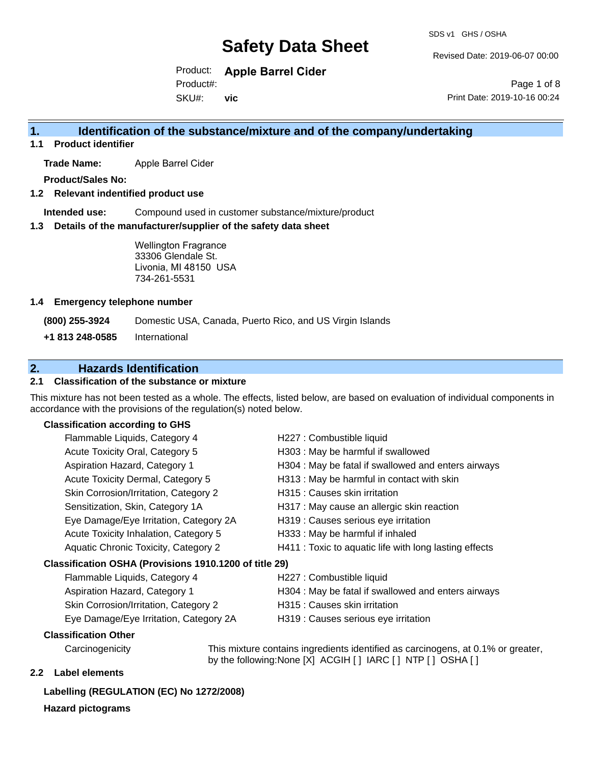SDS v1 GHS / OSHA

Revised Date: 2019-06-07 00:00

Product: **Apple Barrel Cider** Product#:

SKU#: **vic**

Page 1 of 8 Print Date: 2019-10-16 00:24

## **1. Identification of the substance/mixture and of the company/undertaking**

**1.1 Product identifier**

**Trade Name:** Apple Barrel Cider

**Product/Sales No:**

#### **1.2 Relevant indentified product use**

**Intended use:** Compound used in customer substance/mixture/product

#### **1.3 Details of the manufacturer/supplier of the safety data sheet**

Wellington Fragrance 33306 Glendale St. Livonia, MI 48150 USA 734-261-5531

#### **1.4 Emergency telephone number**

**(800) 255-3924** Domestic USA, Canada, Puerto Rico, and US Virgin Islands

**+1 813 248-0585** International

## **2. Hazards Identification**

#### **2.1 Classification of the substance or mixture**

This mixture has not been tested as a whole. The effects, listed below, are based on evaluation of individual components in accordance with the provisions of the regulation(s) noted below.

#### **Classification according to GHS**

| Flammable Liquids, Category 4                          | H227 : Combustible liquid                              |
|--------------------------------------------------------|--------------------------------------------------------|
| Acute Toxicity Oral, Category 5                        | H303 : May be harmful if swallowed                     |
| Aspiration Hazard, Category 1                          | H304 : May be fatal if swallowed and enters airways    |
| Acute Toxicity Dermal, Category 5                      | H313 : May be harmful in contact with skin             |
| Skin Corrosion/Irritation, Category 2                  | H315 : Causes skin irritation                          |
| Sensitization, Skin, Category 1A                       | H317 : May cause an allergic skin reaction             |
| Eye Damage/Eye Irritation, Category 2A                 | H319 : Causes serious eye irritation                   |
| Acute Toxicity Inhalation, Category 5                  | H333: May be harmful if inhaled                        |
| Aquatic Chronic Toxicity, Category 2                   | H411 : Toxic to aquatic life with long lasting effects |
| Classification OSHA (Provisions 1910.1200 of title 29) |                                                        |
| Flammable Liquids, Category 4                          | H227 : Combustible liquid                              |
| Aspiration Hazard, Category 1                          | H304 : May be fatal if swallowed and enters airways    |

- Skin Corrosion/Irritation, Category 2 **H315**: Causes skin irritation
- Eye Damage/Eye Irritation, Category 2A H319 : Causes serious eye irritation

#### **Classification Other**

Carcinogenicity This mixture contains ingredients identified as carcinogens, at 0.1% or greater, by the following:None [X] ACGIH [ ] IARC [ ] NTP [ ] OSHA [ ]

#### **2.2 Label elements**

## **Labelling (REGULATION (EC) No 1272/2008)**

**Hazard pictograms**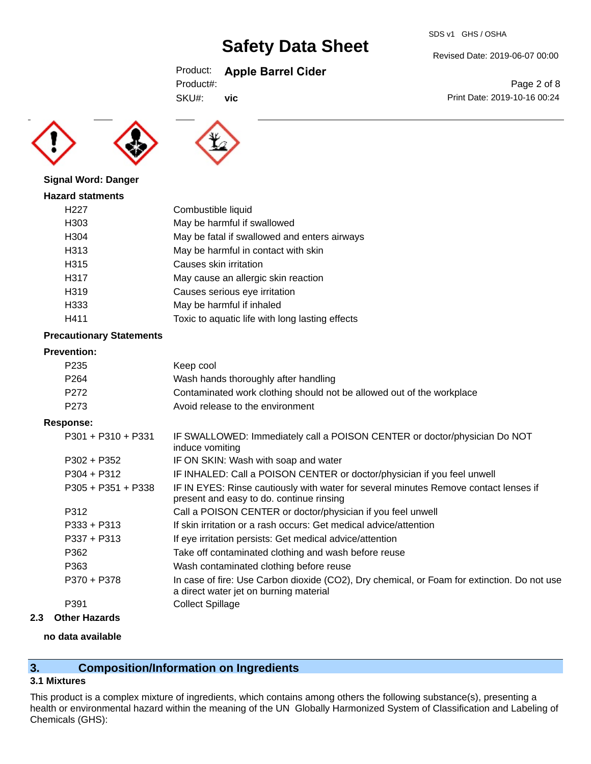## Product: **Apple Barrel Cider**

| Product#: |
|-----------|
|-----------|

SKU#: **vic**





### **Signal Word: Danger**

| <b>Hazard statments</b> |                                                 |
|-------------------------|-------------------------------------------------|
| H <sub>22</sub> 7       | Combustible liquid                              |
| H303                    | May be harmful if swallowed                     |
| H304                    | May be fatal if swallowed and enters airways    |
| H313                    | May be harmful in contact with skin             |
| H315                    | Causes skin irritation                          |
| H317                    | May cause an allergic skin reaction             |
| H319                    | Causes serious eye irritation                   |
| H333                    | May be harmful if inhaled                       |
| H411                    | Toxic to aquatic life with long lasting effects |

### **Precautionary Statements**

#### **Prevention:**

| P235 | Keep cool                                                             |
|------|-----------------------------------------------------------------------|
| P264 | Wash hands thoroughly after handling                                  |
| P272 | Contaminated work clothing should not be allowed out of the workplace |
| P273 | Avoid release to the environment                                      |

#### **Response:**

| $P301 + P310 + P331$ | IF SWALLOWED: Immediately call a POISON CENTER or doctor/physician Do NOT<br>induce vomiting                                          |
|----------------------|---------------------------------------------------------------------------------------------------------------------------------------|
| $P302 + P352$        | IF ON SKIN: Wash with soap and water                                                                                                  |
| $P304 + P312$        | IF INHALED: Call a POISON CENTER or doctor/physician if you feel unwell                                                               |
| $P305 + P351 + P338$ | IF IN EYES: Rinse cautiously with water for several minutes Remove contact lenses if<br>present and easy to do. continue rinsing      |
| P312                 | Call a POISON CENTER or doctor/physician if you feel unwell                                                                           |
| $P333 + P313$        | If skin irritation or a rash occurs: Get medical advice/attention                                                                     |
| $P337 + P313$        | If eye irritation persists: Get medical advice/attention                                                                              |
| P362                 | Take off contaminated clothing and wash before reuse                                                                                  |
| P363                 | Wash contaminated clothing before reuse                                                                                               |
| P370 + P378          | In case of fire: Use Carbon dioxide (CO2), Dry chemical, or Foam for extinction. Do not use<br>a direct water jet on burning material |
| P391                 | <b>Collect Spillage</b>                                                                                                               |
|                      |                                                                                                                                       |

### **2.3 Other Hazards**

#### **no data available**

## **3. Composition/Information on Ingredients**

## **3.1 Mixtures**

This product is a complex mixture of ingredients, which contains among others the following substance(s), presenting a health or environmental hazard within the meaning of the UN Globally Harmonized System of Classification and Labeling of Chemicals (GHS):

Revised Date: 2019-06-07 00:00

Page 2 of 8 Print Date: 2019-10-16 00:24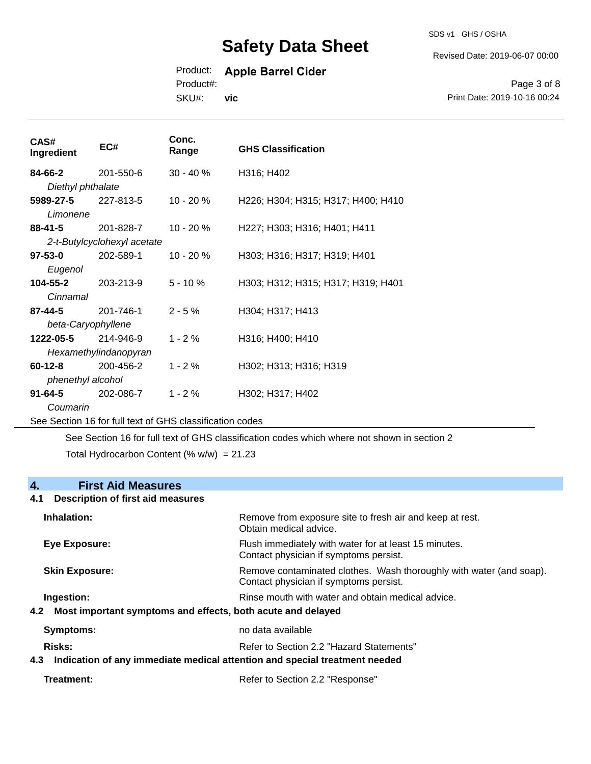SDS v1 GHS / OSHA

Revised Date: 2019-06-07 00:00

## Product: **Apple Barrel Cider**

Product#:

SKU#: **vic**

Page 3 of 8 Print Date: 2019-10-16 00:24

| CAS#<br>Ingredient | EC#                         | Conc.<br>Range                                           | <b>GHS Classification</b>          |
|--------------------|-----------------------------|----------------------------------------------------------|------------------------------------|
| 84-66-2            | 201-550-6                   | $30 - 40 \%$                                             | H316; H402                         |
| Diethyl phthalate  |                             |                                                          |                                    |
| 5989-27-5          | 227-813-5                   | $10 - 20%$                                               | H226; H304; H315; H317; H400; H410 |
| Limonene           |                             |                                                          |                                    |
| $88 - 41 - 5$      | 201-828-7                   | 10 - 20 %                                                | H227; H303; H316; H401; H411       |
|                    | 2-t-Butylcyclohexyl acetate |                                                          |                                    |
| $97 - 53 - 0$      | 202-589-1                   | $10 - 20%$                                               | H303; H316; H317; H319; H401       |
| Eugenol            |                             |                                                          |                                    |
| 104-55-2           | 203-213-9                   | $5 - 10%$                                                | H303; H312; H315; H317; H319; H401 |
| Cinnamal           |                             |                                                          |                                    |
| 87-44-5            | 201-746-1                   | $2 - 5%$                                                 | H304; H317; H413                   |
| beta-Caryophyllene |                             |                                                          |                                    |
| 1222-05-5          | 214-946-9                   | $1 - 2%$                                                 | H316; H400; H410                   |
|                    | Hexamethylindanopyran       |                                                          |                                    |
| $60 - 12 - 8$      | 200-456-2                   | $1 - 2%$                                                 | H302; H313; H316; H319             |
| phenethyl alcohol  |                             |                                                          |                                    |
| $91 - 64 - 5$      | 202-086-7                   | $1 - 2%$                                                 | H302; H317; H402                   |
| Coumarin           |                             |                                                          |                                    |
|                    |                             | See Section 16 for full text of GHS classification codes |                                    |

See Section 16 for full text of GHS classification codes which where not shown in section 2

Total Hydrocarbon Content  $(% \mathcal{L}_{0}$  (% w/w) = 21.23

### **4. First Aid Measures**

#### **4.1 Description of first aid measures**

| Inhalation:                                                                   | Remove from exposure site to fresh air and keep at rest.<br>Obtain medical advice.                                         |
|-------------------------------------------------------------------------------|----------------------------------------------------------------------------------------------------------------------------|
| <b>Eye Exposure:</b>                                                          | Flush immediately with water for at least 15 minutes.<br>Contact physician if symptoms persist.                            |
| <b>Skin Exposure:</b>                                                         | Remove contaminated clothes. Wash thoroughly with water (and soap).<br>Contact physician if symptoms persist.              |
| Ingestion:<br>4.2 Most important symptoms and effects, both acute and delayed | Rinse mouth with water and obtain medical advice.                                                                          |
| <b>Symptoms:</b>                                                              | no data available                                                                                                          |
| <b>Risks:</b>                                                                 | Refer to Section 2.2 "Hazard Statements"<br>4.3 Indication of any immediate medical attention and special treatment needed |
|                                                                               |                                                                                                                            |

**Treatment:** Treatment: Treatment: Refer to Section 2.2 "Response"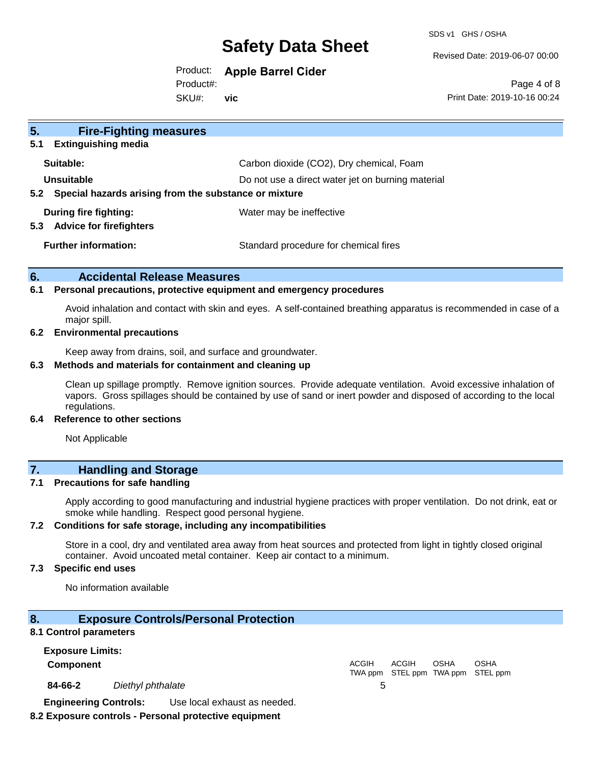SDS v1 GHS / OSHA

Revised Date: 2019-06-07 00:00

## Product: **Apple Barrel Cider**

Product#:

SKU#: **vic**

Page 4 of 8 Print Date: 2019-10-16 00:24

| 5.<br><b>Fire-Fighting measures</b>                                    |                                                   |
|------------------------------------------------------------------------|---------------------------------------------------|
| <b>Extinguishing media</b><br>5.1                                      |                                                   |
| Suitable:                                                              | Carbon dioxide (CO2), Dry chemical, Foam          |
| Unsuitable                                                             | Do not use a direct water jet on burning material |
| Special hazards arising from the substance or mixture<br>$5.2^{\circ}$ |                                                   |
| During fire fighting:                                                  | Water may be ineffective                          |
| <b>Advice for firefighters</b><br>5.3                                  |                                                   |
| <b>Further information:</b>                                            | Standard procedure for chemical fires             |
|                                                                        |                                                   |

#### **6. Accidental Release Measures**

#### **6.1 Personal precautions, protective equipment and emergency procedures**

Avoid inhalation and contact with skin and eyes. A self-contained breathing apparatus is recommended in case of a major spill.

#### **6.2 Environmental precautions**

Keep away from drains, soil, and surface and groundwater.

#### **6.3 Methods and materials for containment and cleaning up**

Clean up spillage promptly. Remove ignition sources. Provide adequate ventilation. Avoid excessive inhalation of vapors. Gross spillages should be contained by use of sand or inert powder and disposed of according to the local regulations.

#### **6.4 Reference to other sections**

Not Applicable

## **7. Handling and Storage**

#### **7.1 Precautions for safe handling**

Apply according to good manufacturing and industrial hygiene practices with proper ventilation. Do not drink, eat or smoke while handling. Respect good personal hygiene.

#### **7.2 Conditions for safe storage, including any incompatibilities**

Store in a cool, dry and ventilated area away from heat sources and protected from light in tightly closed original container. Avoid uncoated metal container. Keep air contact to a minimum.

#### **7.3 Specific end uses**

No information available

#### **8. Exposure Controls/Personal Protection**

#### **8.1 Control parameters**

**Exposure Limits: Component** ACGIH TWA ppm STEL ppm TWA ppm STEL ppm ACGIH **OSHA** OSHA **84-66-2** *Diethyl phthalate* 5 **Engineering Controls:** Use local exhaust as needed.

#### **8.2 Exposure controls - Personal protective equipment**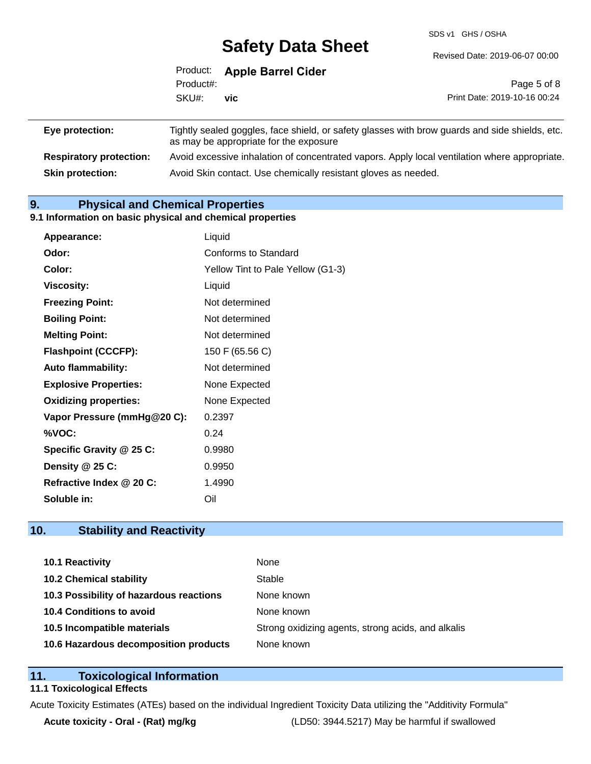SDS v1 GHS / OSHA

|                 |           | Product: Apple Barrel Cider            |                                                                                                |
|-----------------|-----------|----------------------------------------|------------------------------------------------------------------------------------------------|
|                 | Product#: |                                        | Page 5 of 8                                                                                    |
|                 | SKU#:     | vic                                    | Print Date: 2019-10-16 00:24                                                                   |
|                 |           |                                        |                                                                                                |
| Eye protection: |           | as may be appropriate for the exposure | Tightly sealed goggles, face shield, or safety glasses with brow guards and side shields, etc. |

**Respiratory protection:** Avoid excessive inhalation of concentrated vapors. Apply local ventilation where appropriate. **Skin protection:** Avoid Skin contact. Use chemically resistant gloves as needed.

## **9. Physical and Chemical Properties**

#### **9.1 Information on basic physical and chemical properties**

| Appearance:                  | Liquid                            |
|------------------------------|-----------------------------------|
| Odor:                        | Conforms to Standard              |
| Color:                       | Yellow Tint to Pale Yellow (G1-3) |
| <b>Viscosity:</b>            | Liquid                            |
| <b>Freezing Point:</b>       | Not determined                    |
| <b>Boiling Point:</b>        | Not determined                    |
| <b>Melting Point:</b>        | Not determined                    |
| <b>Flashpoint (CCCFP):</b>   | 150 F (65.56 C)                   |
| Auto flammability:           | Not determined                    |
| <b>Explosive Properties:</b> | None Expected                     |
| <b>Oxidizing properties:</b> | None Expected                     |
| Vapor Pressure (mmHg@20 C):  | 0.2397                            |
| %VOC:                        | 0.24                              |
| Specific Gravity @ 25 C:     | 0.9980                            |
| Density @ 25 C:              | 0.9950                            |
| Refractive Index @ 20 C:     | 1.4990                            |
| Soluble in:                  | Oil                               |

## **10. Stability and Reactivity**

| 10.1 Reactivity                         | None                                               |
|-----------------------------------------|----------------------------------------------------|
| <b>10.2 Chemical stability</b>          | Stable                                             |
| 10.3 Possibility of hazardous reactions | None known                                         |
| 10.4 Conditions to avoid                | None known                                         |
| 10.5 Incompatible materials             | Strong oxidizing agents, strong acids, and alkalis |
| 10.6 Hazardous decomposition products   | None known                                         |

### **11. Toxicological Information**

### **11.1 Toxicological Effects**

Acute Toxicity Estimates (ATEs) based on the individual Ingredient Toxicity Data utilizing the "Additivity Formula"

**Acute toxicity - Oral - (Rat) mg/kg** (LD50: 3944.5217) May be harmful if swallowed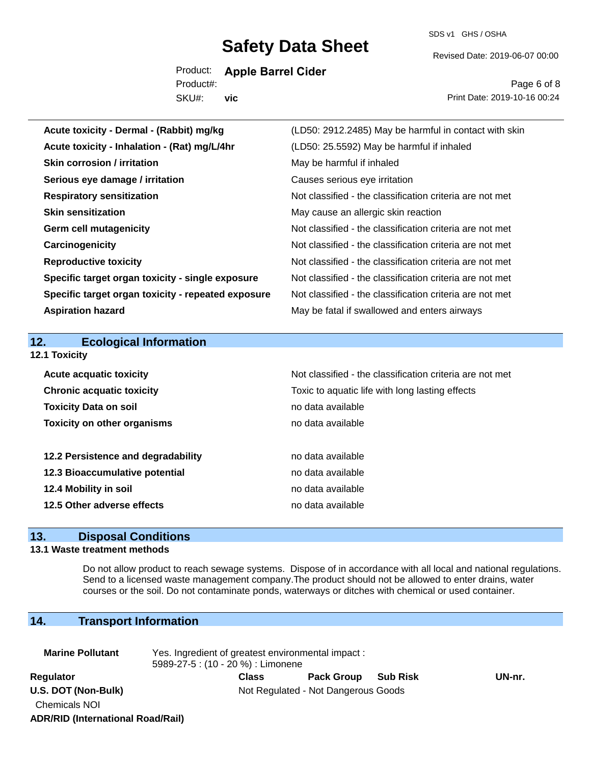SDS v1 GHS / OSHA

Revised Date: 2019-06-07 00:00

Product: **Apple Barrel Cider** SKU#: Product#: **vic**

Page 6 of 8 Print Date: 2019-10-16 00:24

| Acute toxicity - Dermal - (Rabbit) mg/kg           | (LD50: 2912.2485) May be harmful in contact with skin    |
|----------------------------------------------------|----------------------------------------------------------|
| Acute toxicity - Inhalation - (Rat) mg/L/4hr       | (LD50: 25.5592) May be harmful if inhaled                |
| <b>Skin corrosion / irritation</b>                 | May be harmful if inhaled                                |
| Serious eye damage / irritation                    | Causes serious eye irritation                            |
| <b>Respiratory sensitization</b>                   | Not classified - the classification criteria are not met |
| <b>Skin sensitization</b>                          | May cause an allergic skin reaction                      |
| <b>Germ cell mutagenicity</b>                      | Not classified - the classification criteria are not met |
| Carcinogenicity                                    | Not classified - the classification criteria are not met |
| <b>Reproductive toxicity</b>                       | Not classified - the classification criteria are not met |
| Specific target organ toxicity - single exposure   | Not classified - the classification criteria are not met |
| Specific target organ toxicity - repeated exposure | Not classified - the classification criteria are not met |
| <b>Aspiration hazard</b>                           | May be fatal if swallowed and enters airways             |
|                                                    |                                                          |
|                                                    |                                                          |
| 12.<br><b>Ecological Information</b>               |                                                          |
| 12.1 Toxicity                                      |                                                          |
| <b>Acute acquatic toxicity</b>                     | Not classified - the classification criteria are not met |
| <b>Chronic acquatic toxicity</b>                   | Toxic to aquatic life with long lasting effects          |
| <b>Toxicity Data on soil</b>                       | no data available                                        |
| <b>Toxicity on other organisms</b>                 | no data available                                        |
|                                                    |                                                          |
| 12.2 Persistence and degradability                 | no data available                                        |
| 12.3 Bioaccumulative potential                     | no data available                                        |
| 12.4 Mobility in soil                              | no data available                                        |
| 12.5 Other adverse effects                         | no data available                                        |

## **13. Disposal Conditions**

#### **13.1 Waste treatment methods**

Do not allow product to reach sewage systems. Dispose of in accordance with all local and national regulations. Send to a licensed waste management company.The product should not be allowed to enter drains, water courses or the soil. Do not contaminate ponds, waterways or ditches with chemical or used container.

## **14. Transport Information**

**ADR/RID (International Road/Rail)**

| <b>Marine Pollutant</b>                     | Yes. Ingredient of greatest environmental impact:<br>5989-27-5 : (10 - 20 %) : Limonene |       |                                     |  |        |  |
|---------------------------------------------|-----------------------------------------------------------------------------------------|-------|-------------------------------------|--|--------|--|
| Regulator                                   |                                                                                         | Class | Pack Group Sub Risk                 |  | UN-nr. |  |
| U.S. DOT (Non-Bulk)<br><b>Chemicals NOI</b> |                                                                                         |       | Not Regulated - Not Dangerous Goods |  |        |  |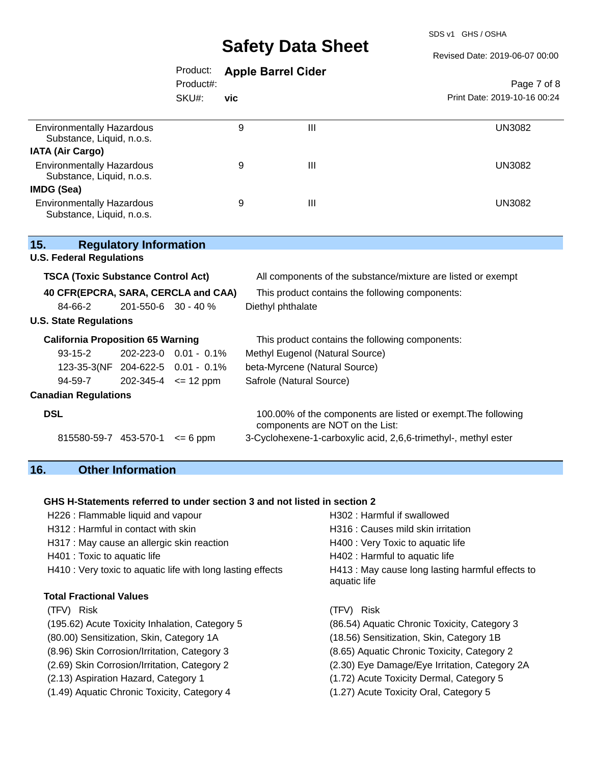SDS v1 GHS / OSHA

#### Revised Date: 2019-06-07 00:00

|                                                               |                               | Product:<br>Product#: | <b>Apple Barrel Cider</b>                                       |                                                                                                  | Page 7 of 8                  |  |
|---------------------------------------------------------------|-------------------------------|-----------------------|-----------------------------------------------------------------|--------------------------------------------------------------------------------------------------|------------------------------|--|
|                                                               |                               | SKU#:                 | vic                                                             |                                                                                                  | Print Date: 2019-10-16 00:24 |  |
| <b>Environmentally Hazardous</b><br>Substance, Liquid, n.o.s. |                               |                       | 9                                                               | III                                                                                              | <b>UN3082</b>                |  |
| <b>IATA (Air Cargo)</b>                                       |                               |                       |                                                                 |                                                                                                  |                              |  |
| <b>Environmentally Hazardous</b><br>Substance, Liquid, n.o.s. |                               |                       | 9                                                               | Ш                                                                                                | <b>UN3082</b>                |  |
| <b>IMDG (Sea)</b>                                             |                               |                       |                                                                 |                                                                                                  |                              |  |
| <b>Environmentally Hazardous</b><br>Substance, Liquid, n.o.s. |                               |                       | 9                                                               | $\mathbf{III}$                                                                                   | <b>UN3082</b>                |  |
| 15.<br><b>U.S. Federal Regulations</b>                        | <b>Regulatory Information</b> |                       |                                                                 |                                                                                                  |                              |  |
| <b>TSCA (Toxic Substance Control Act)</b>                     |                               |                       |                                                                 | All components of the substance/mixture are listed or exempt                                     |                              |  |
| 40 CFR(EPCRA, SARA, CERCLA and CAA)                           |                               |                       |                                                                 | This product contains the following components:                                                  |                              |  |
| 84-66-2                                                       | 201-550-6 30 - 40 %           |                       | Diethyl phthalate                                               |                                                                                                  |                              |  |
| <b>U.S. State Regulations</b>                                 |                               |                       |                                                                 |                                                                                                  |                              |  |
| <b>California Proposition 65 Warning</b>                      |                               |                       |                                                                 | This product contains the following components:                                                  |                              |  |
| $93-15-2$                                                     | 202-223-0 0.01 - 0.1%         |                       |                                                                 | Methyl Eugenol (Natural Source)                                                                  |                              |  |
| 123-35-3(NF 204-622-5 0.01 - 0.1%                             |                               |                       |                                                                 | beta-Myrcene (Natural Source)                                                                    |                              |  |
| 94-59-7                                                       | $202-345-4$ <= 12 ppm         |                       | Safrole (Natural Source)                                        |                                                                                                  |                              |  |
| <b>Canadian Regulations</b>                                   |                               |                       |                                                                 |                                                                                                  |                              |  |
| <b>DSL</b>                                                    |                               |                       |                                                                 | 100.00% of the components are listed or exempt. The following<br>components are NOT on the List: |                              |  |
| 815580-59-7 453-570-1                                         |                               | $= 6$ ppm             | 3-Cyclohexene-1-carboxylic acid, 2,6,6-trimethyl-, methyl ester |                                                                                                  |                              |  |

## **16. Other Information**

#### **GHS H-Statements referred to under section 3 and not listed in section 2**

| H226 : Flammable liquid and vapour                          | H302: Harmful if swallowed                                       |  |  |
|-------------------------------------------------------------|------------------------------------------------------------------|--|--|
| H312 : Harmful in contact with skin                         | H316 : Causes mild skin irritation                               |  |  |
| H317 : May cause an allergic skin reaction                  | H400 : Very Toxic to aquatic life                                |  |  |
| H401 : Toxic to aquatic life                                | H402 : Harmful to aquatic life                                   |  |  |
| H410 : Very toxic to aquatic life with long lasting effects | H413 : May cause long lasting harmful effects to<br>aquatic life |  |  |
| <b>Total Fractional Values</b>                              |                                                                  |  |  |
| (TFV) Risk                                                  | (TFV)<br>Risk                                                    |  |  |
| (195.62) Acute Toxicity Inhalation, Category 5              | (86.54) Aquatic Chronic Toxicity, Category 3                     |  |  |
| (80.00) Sensitization, Skin, Category 1A                    | (18.56) Sensitization, Skin, Category 1B                         |  |  |
| (8.96) Skin Corrosion/Irritation, Category 3                | (8.65) Aquatic Chronic Toxicity, Category 2                      |  |  |
| (2.69) Skin Corrosion/Irritation, Category 2                | (2.30) Eye Damage/Eye Irritation, Category 2A                    |  |  |
| (2.13) Aspiration Hazard, Category 1                        | (1.72) Acute Toxicity Dermal, Category 5                         |  |  |
| (1.49) Aquatic Chronic Toxicity, Category 4                 | (1.27) Acute Toxicity Oral, Category 5                           |  |  |
|                                                             |                                                                  |  |  |